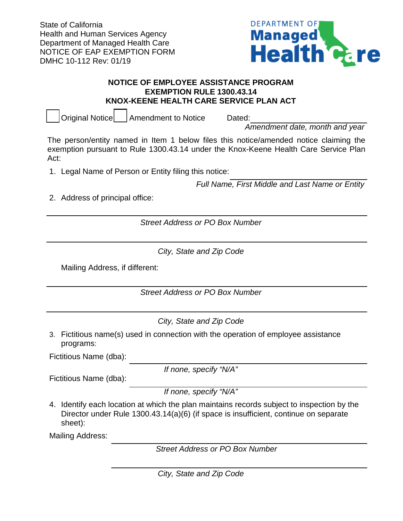State of California Health and Human Services Agency Department of Managed Health Care NOTICE OF EAP EXEMPTION FORM DMHC 10-112 Rev: 01/19



## **NOTICE OF EMPLOYEE ASSISTANCE PROGRAM EXEMPTION RULE 1300.43.14 KNOX-KEENE HEALTH CARE SERVICE PLAN ACT**

Original Notice | Amendment to Notice Dated:

*Amendment date, month and year*

The person/entity named in Item 1 below files this notice/amended notice claiming the exemption pursuant to Rule 1300.43.14 under the Knox-Keene Health Care Service Plan Act:

1. Legal Name of Person or Entity filing this notice:

*Full Name, First Middle and Last Name or Entity* 

2. Address of principal office:

*Street Address or PO Box Number*

*City, State and Zip Code*

Mailing Address, if different:

*Street Address or PO Box Number*

*City, State and Zip Code*

3. Fictitious name(s) used in connection with the operation of employee assistance programs:

Fictitious Name (dba):

*If none, specify "N/A"*

Fictitious Name (dba):

*If none, specify "N/A"*

4. Identify each location at which the plan maintains records subject to inspection by the Director under Rule 1300.43.14(a)(6) (if space is insufficient, continue on separate sheet):

Mailing Address:

*Street Address or PO Box Number*

*City, State and Zip Code*